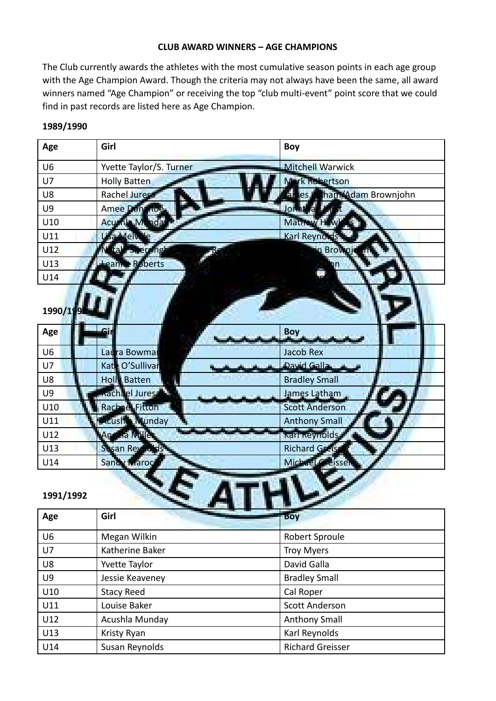#### **CLUB AWARD WINNERS – AGE CHAMPIONS**

The Club currently awards the athletes with the most cumulative season points in each age group with the Age Champion Award. Though the criteria may not always have been the same, all award winners named "Age Champion" or receiving the top "club multi-event" point score that we could find in past records are listed here as Age Champion.

| Age            | Girl                    | <b>Boy</b>                               |
|----------------|-------------------------|------------------------------------------|
| U <sub>6</sub> | Yvette Taylor/S. Turner | <b>Mitchell Warwick</b>                  |
| U7             | <b>Holly Batten</b>     | <b>Vark Robertson</b>                    |
| U8             | Rachel Jures            | <b>atham/Adam Brownjohn</b><br>a.<br>les |
| <b>U9</b>      | Amee Donanoe            | Jortathan H                              |
| U10            | Acushia Munday          | Mathew Haw                               |
| U11            | Lisa Melville           | Karl Reynolds                            |
| U12            | tale Sherringi          | in Brownje                               |
| U13            | eanne Roberts           |                                          |
| U14            |                         |                                          |
| 1990/199       |                         |                                          |
| Age            |                         | <b>Boy</b>                               |
| U <sub>6</sub> | Laura Bowmar            | <b>Jacob Rex</b>                         |
| U7             | Kate O'Sullivan         | David Galla                              |
| U8             | <b>Holly Batten</b>     | <b>Bradley Small</b>                     |
| <b>U9</b>      | Rachael Jures           | James Latham                             |
| U10            | <b>Rachael Fitton</b>   | <b>Scott Anderson</b>                    |
| U11            | <b>Acushia</b> Munday   | <b>Anthony Small</b>                     |
| U12            | Angela Miller           | Karl Reynolds                            |
| U13            | Susan Reynolds          | <b>Richard Greiss</b>                    |
| U14            | Sandy Maroci            | Michael Greisser                         |
| 1991/1992      |                         |                                          |

| Age            | Girl              | <b>Boy</b>              |
|----------------|-------------------|-------------------------|
| U <sub>6</sub> | Megan Wilkin      | Robert Sproule          |
| U7             | Katherine Baker   | <b>Troy Myers</b>       |
| U8             | Yvette Taylor     | David Galla             |
| U9             | Jessie Keaveney   | <b>Bradley Small</b>    |
| U10            | <b>Stacy Reed</b> | Cal Roper               |
| U11            | Louise Baker      | <b>Scott Anderson</b>   |
| U12            | Acushla Munday    | <b>Anthony Small</b>    |
| U13            | Kristy Ryan       | Karl Reynolds           |
| U14            | Susan Reynolds    | <b>Richard Greisser</b> |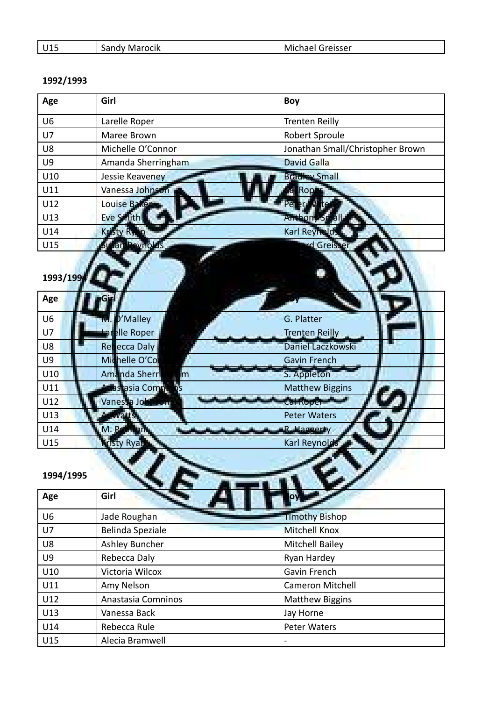| 14 E | ---<br>$\mathbf{a}$<br>ocik<br>iviar<br>sandy | ireisser<br>M.<br>$   -$<br>.iidel |
|------|-----------------------------------------------|------------------------------------|

| Age            | Girl                           | <b>Boy</b>                       |
|----------------|--------------------------------|----------------------------------|
| U <sub>6</sub> | Larelle Roper                  | <b>Trenten Reilly</b>            |
| U7             | Maree Brown                    | Robert Sproule                   |
| U8             | Michelle O'Connor              | Jonathan Small/Christopher Brown |
| <b>U9</b>      | Amanda Sherringham             | <b>David Galla</b>               |
| U10            | Jessie Keaveney                | <b>Bradley Small</b>             |
| U11            | Vanessa Johnson                | $\overline{a}$<br>Rop            |
| U12            | Louise Baker                   |                                  |
| U13            | Eve Smith                      | Anthony                          |
| U14            | Kristy R                       | Karl Reymold                     |
| U15            | evnold<br>an                   | rd Greist                        |
| 1993/199       |                                |                                  |
| Age            |                                |                                  |
| U <sub>6</sub> | D'Malley<br>TVT.               | G. Platter                       |
| U7             | <b>Larelle Roper</b>           | Trenten Reilly                   |
| U8             | <b>Repecca Daly</b>            | Daniel Laczkowski                |
| U9             | Michelle O'Cor                 | <b>Gavin French</b>              |
| U10            | Amanda Sherri<br>$\mathsf{Im}$ | S. Appleton                      |
| U11            | Anastasia Compi                | <b>Matthew Biggins</b>           |
| U12            | Vanessa John                   | Cal Roper                        |
| U13            | <b>Watts</b>                   | <b>Peter Waters</b>              |
| U14            | M. Pomon                       | R. Haggerty                      |
| U15            | <b>Cristy Ryan</b>             | Karl Reynold                     |
| 1994/1995      |                                |                                  |

| Age            | Girl               | <b>The Company's Company</b> |
|----------------|--------------------|------------------------------|
| U <sub>6</sub> | Jade Roughan       | <b>Timothy Bishop</b>        |
| U <sub>7</sub> | Belinda Speziale   | <b>Mitchell Knox</b>         |
| U <sub>8</sub> | Ashley Buncher     | <b>Mitchell Bailey</b>       |
| U <sub>9</sub> | Rebecca Daly       | Ryan Hardey                  |
| U10            | Victoria Wilcox    | Gavin French                 |
| U11            | Amy Nelson         | <b>Cameron Mitchell</b>      |
| U12            | Anastasia Comninos | <b>Matthew Biggins</b>       |
| U13            | Vanessa Back       | Jay Horne                    |
| U14            | Rebecca Rule       | <b>Peter Waters</b>          |
| U15            | Alecia Bramwell    | $\overline{\phantom{a}}$     |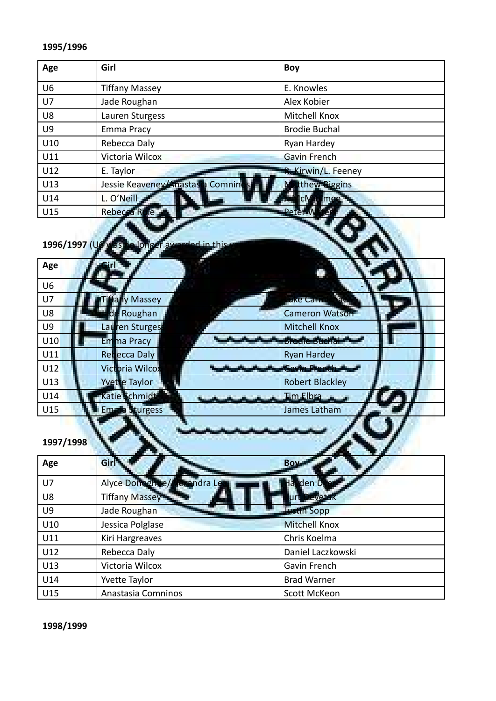| Age            | Girl                             | Boy                        |
|----------------|----------------------------------|----------------------------|
| U <sub>6</sub> | <b>Tiffany Massey</b>            | E. Knowles                 |
| U7             | Jade Roughan                     | Alex Kobier                |
| U8             | Lauren Sturgess                  | Mitchell Knox              |
| U <sub>9</sub> | Emma Pracy                       | <b>Brodie Buchal</b>       |
| U10            | Rebecca Daly                     | Ryan Hardey                |
| U11            | Victoria Wilcox                  | <b>Gavin French</b>        |
| U12            | E. Taylor                        | <b>R. Kirwin/L. Feeney</b> |
| U13            | Jessie Keaveney/Anastasia Comnin | tthew Biggins              |
| U14            | L. O'Neill                       | mee <sup>-</sup>           |
| U15            | Rebecca R                        | -Peter-                    |

# 1996/1997 (U6 was no longer awarded in this year)

| U <sub>6</sub>                                            |  |
|-----------------------------------------------------------|--|
| <b>Sac</b><br>U7<br>y Massey<br><b>Like Carried</b>       |  |
| de Roughan<br>Cameron Watson<br>U8                        |  |
| Lauren Sturges<br><b>Mitchell Knox</b><br>U <sub>9</sub>  |  |
| <b>Brodie Buchal Pro</b><br>U10<br>Em <sub>ma Pracy</sub> |  |
| U11<br><b>Redecca Daly</b><br><b>Ryan Hardey</b>          |  |
| U12<br><b>Victoria Wilcox</b><br><b>Leavin Franch de</b>  |  |
| U13<br>Yvette Taylor<br><b>Robert Blackley</b>            |  |
| Katie Schmidt<br>U14<br>Tim Elbra                         |  |
| U15<br>turgess<br>James Latham<br>Emme                    |  |

فالمتعاهد

## **1997/1998**

| Age | Girl                        | <b>Bow</b>           |
|-----|-----------------------------|----------------------|
| U7  | Alyce Donoghue/Alexandra Le | la den Dr            |
| U8  | Tiffany Massey              | urt Devetak          |
| U9  | Jade Roughan                | <b>Justin Sopp</b>   |
| U10 | Jessica Polglase            | <b>Mitchell Knox</b> |
| U11 | Kiri Hargreaves             | Chris Koelma         |
| U12 | Rebecca Daly                | Daniel Laczkowski    |
| U13 | Victoria Wilcox             | Gavin French         |
| U14 | Yvette Taylor               | <b>Brad Warner</b>   |
| U15 | Anastasia Comninos          | Scott McKeon         |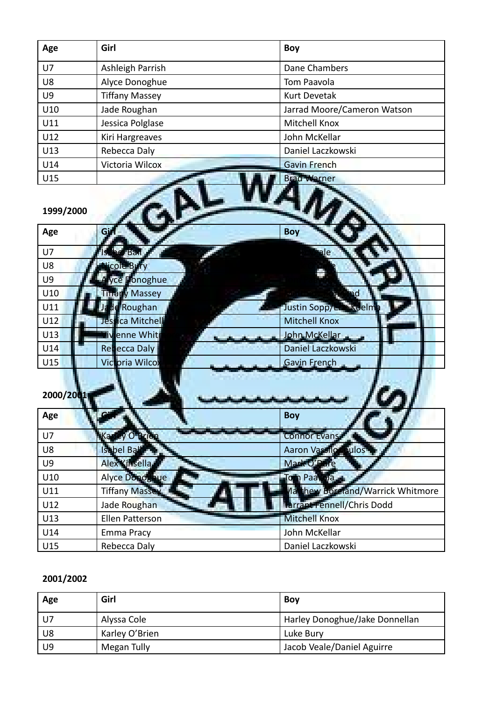| Age            | Girl                  | Boy                         |
|----------------|-----------------------|-----------------------------|
| U7             | Ashleigh Parrish      | Dane Chambers               |
| U8             | Alyce Donoghue        | Tom Paavola                 |
| U <sub>9</sub> | <b>Tiffany Massey</b> | <b>Kurt Devetak</b>         |
| U10            | Jade Roughan          | Jarrad Moore/Cameron Watson |
| U11            | Jessica Polglase      | Mitchell Knox               |
| U12            | Kiri Hargreaves       | John McKellar               |
| U13            | Rebecca Daly          | Daniel Laczkowski           |
| U14            | Victoria Wilcox       | <b>Gavin French</b>         |
| U15            |                       | <b>Brad Warner</b>          |
| 1999/2000      |                       |                             |

| Age            | Gi                     | <b>Boy</b>                              |
|----------------|------------------------|-----------------------------------------|
| U7             | he Ball                |                                         |
| U8             | cole Bury              |                                         |
| <b>U9</b>      | Alyce Donoghue         |                                         |
| U10            | <b>Tiffany Massey</b>  |                                         |
| U11            | de Roughan<br>Ja       | Justin Sopp/Erre koelm                  |
| U12            | Jessica Mitchell       | <b>Mitchell Knox</b>                    |
| U13            | liv enne Whit          | John McKellar                           |
| U14            | <b>Refecca Daly</b>    | Daniel Laczkowski                       |
| U15            | Victoria Wilcox        | Gavin French                            |
| 2000/2001      |                        |                                         |
| Age            |                        | <b>Boy</b>                              |
|                |                        |                                         |
| U7             | V O Brien<br>Ka        | <b>Connor Evans</b>                     |
| U8             | Isabel Ball            | Aaron Vassilor<br><b>oulos</b>          |
| U <sub>9</sub> | Alex Kinsella          | Mark O'Dure                             |
| U10            | Alyce Donoghue         | Tom Paavola                             |
| U11            | <b>Tiffany Massey</b>  | <b>Aathew Boreland/Warrick Whitmore</b> |
| U12            | Jade Roughan           | larrant Fennell/Chris Dodd              |
| U13            | <b>Ellen Patterson</b> | <b>Mitchell Knox</b>                    |
| U14            | Emma Pracy             | John McKellar                           |

| Age            | Girl           | Boy                            |
|----------------|----------------|--------------------------------|
| U <sub>7</sub> | Alyssa Cole    | Harley Donoghue/Jake Donnellan |
| U8             | Karley O'Brien | Luke Bury                      |
| U9             | Megan Tully    | Jacob Veale/Daniel Aguirre     |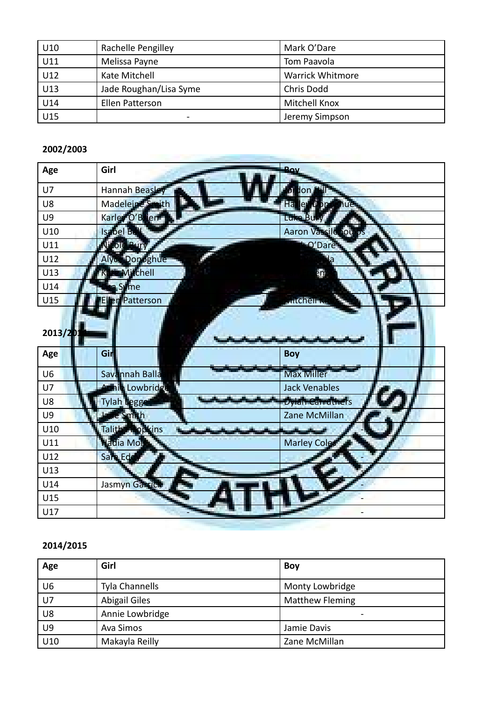| U10 | Rachelle Pengilley     | Mark O'Dare             |
|-----|------------------------|-------------------------|
| U11 | Melissa Payne          | Tom Paavola             |
| U12 | Kate Mitchell          | <b>Warrick Whitmore</b> |
| U13 | Jade Roughan/Lisa Syme | Chris Dodd              |
| U14 | Ellen Patterson        | Mitchell Knox           |
| U15 | -                      | Jeremy Simpson          |

the first party of the control of the control of the con-

#### **2002/2003**

| Age            | Girl                  | <b>Boy</b>           |
|----------------|-----------------------|----------------------|
| U7             | Hannah Beasle         | ø<br>don             |
| U8             | Madeleine Smith       | Ha<br>ler<br>DP      |
| U9             | Karley O'Brien        | Luke Bu              |
| U10            | Isabel Ba             | Aaron Vassilopou     |
| U11            | Ni ole Bury           | O'Dare               |
| U12            | <b>Alyce Donoghue</b> |                      |
| U13            | Mitchell              | em                   |
| U14            | <b>Syme</b>           |                      |
| U15            | Patterson             | <b>Aitchell K</b>    |
|                |                       |                      |
| 2013/201       |                       |                      |
| Age            | Gir                   | <b>Boy</b>           |
| U <sub>6</sub> | Savannah Balla        | <b>Max Miller</b>    |
| U7             | Annie Lowbridge       | <b>Jack Venables</b> |
| U8             | Tylah Legge           | Dylah Carruthers     |
| U9             | e Smith               | Zane McMillan        |
| U10            | Talitherhopkins       |                      |
| U11            | <b>Hadia Mou</b>      | <b>Marley Cole</b>   |
| U12            | Sara Ede              |                      |
| U13            |                       |                      |
| U14            | Jasmyn Garrick        |                      |
|                |                       |                      |
| U15            |                       |                      |

| Age | Girl                 | <b>Boy</b>               |
|-----|----------------------|--------------------------|
| U6  | Tyla Channells       | Monty Lowbridge          |
| U7  | <b>Abigail Giles</b> | <b>Matthew Fleming</b>   |
| U8  | Annie Lowbridge      | $\overline{\phantom{0}}$ |
| U9  | Ava Simos            | Jamie Davis              |
| U10 | Makayla Reilly       | Zane McMillan            |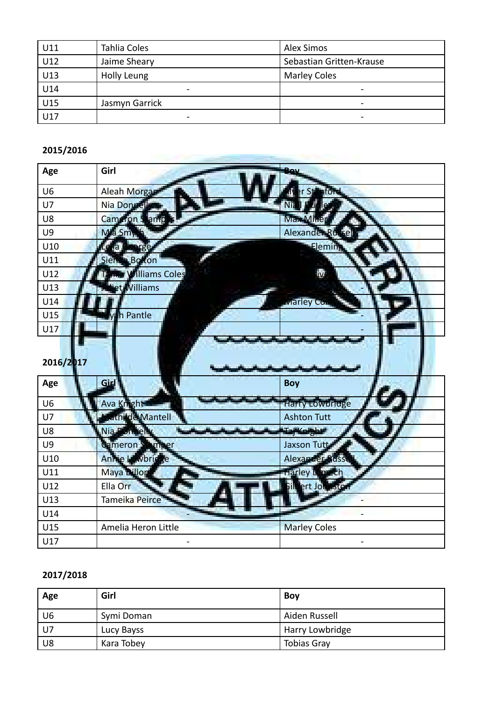| U11 | Tahlia Coles             | <b>Alex Simos</b>        |
|-----|--------------------------|--------------------------|
| U12 | Jaime Sheary             | Sebastian Gritten-Krause |
| U13 | Holly Leung              | <b>Marley Coles</b>      |
| U14 |                          | -                        |
| U15 | Jasmyn Garrick           | -                        |
| U17 | $\overline{\phantom{0}}$ | $\overline{\phantom{a}}$ |

the company's company's company's company's company's

#### **2015/2016**

| Age            | Girl                     |                     |
|----------------|--------------------------|---------------------|
| U <sub>6</sub> | Aleah Morgan             |                     |
| U7             | Nia Donnell              |                     |
| U8             | Cameron Stamp            | Max Millen          |
| <b>U9</b>      | Mia Smy                  | Alexander Russel    |
| U10            | 1a<br>e                  | Eleming             |
| U11            | Sienna Bo<br><b>fton</b> |                     |
| U12            | <b>Williams Coles</b>    | <u>iv</u>           |
| U13            | et Williams              |                     |
| U14            |                          | Aarley Co           |
| U15            | <b>h</b> Pantle          |                     |
| U17            |                          |                     |
|                |                          |                     |
| 2016/2017      |                          |                     |
| Age            | Girl                     | <b>Boy</b>          |
| U <sub>6</sub> | Ava Knight               | Harry Lowbridge     |
| U7             |                          |                     |
|                | <b>Fathilde Mantell</b>  | <b>Ashton Tutt</b>  |
| U8             | Nia Donnelly             | TajKnight           |
| U9             | <b>Cameron Stamper</b>   | Jaxson Tutt         |
| U10            | Annie Lowbridge          | Alexander Russe     |
| U11            | Maya Dillon              | Harley Limech       |
| U12            | Ella Orr                 | Silbert Johnston    |
| U13            | Tameika Peirce           |                     |
| U14            |                          |                     |
| U15            | Amelia Heron Little      | <b>Marley Coles</b> |

| Age  | Girl       | <b>Boy</b>         |
|------|------------|--------------------|
| U6   | Symi Doman | Aiden Russell      |
| l U7 | Lucy Bayss | Harry Lowbridge    |
| U8   | Kara Tobey | <b>Tobias Gray</b> |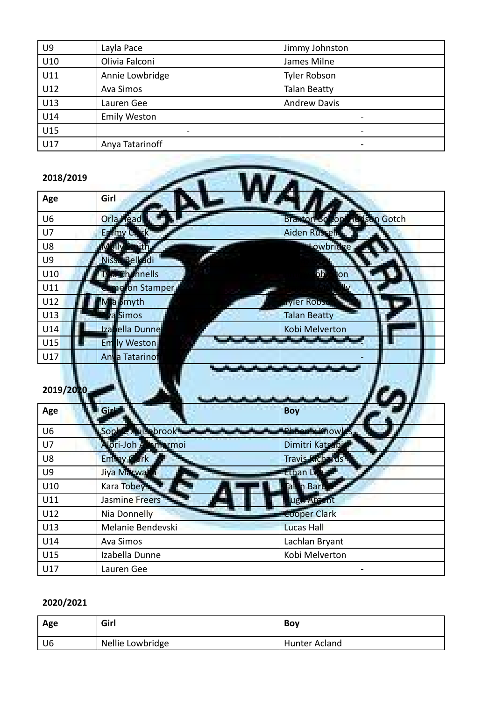| U <sub>9</sub> | Layla Pace          | Jimmy Johnston           |
|----------------|---------------------|--------------------------|
| U10            | Olivia Falconi      | James Milne              |
| U11            | Annie Lowbridge     | <b>Tyler Robson</b>      |
| U12            | Ava Simos           | <b>Talan Beatty</b>      |
| U13            | Lauren Gee          | <b>Andrew Davis</b>      |
| U14            | <b>Emily Weston</b> | $\overline{\phantom{0}}$ |
| U15            |                     |                          |
| U17            | Anya Tatarinoff     |                          |

| 2018/2019       |                      |                                                 |
|-----------------|----------------------|-------------------------------------------------|
| Age             | Girl                 |                                                 |
| U <sub>6</sub>  | Orla <b>Head</b>     | <b>Hudson Gotch</b><br>Braxton Bo<br><b>ton</b> |
| U7              | Enimy C              | Aiden Russell                                   |
| U8              | Œ<br>ulv             | Lowbridge                                       |
| <b>U9</b>       | Nissa Belkadi        |                                                 |
| U10             | <b>Channells</b>     | bh<br>on                                        |
| U11             | ne on Stamper        |                                                 |
| U12             | a Smyth              | <b>Lyler Rob</b> a                              |
| U13             | a Simos              | <b>Talan Beatty</b>                             |
| U14             | Izabella Dunne       | Kobi Melverton                                  |
| U15             | Emily Weston         | <b>Barnett Street, Street Street, Texas</b>     |
| U17             | Anya Tatarinot       |                                                 |
|                 |                      |                                                 |
| 2019/2020       |                      |                                                 |
| Age             | Girl                 | <b>Boy</b>                                      |
| U <sub>6</sub>  | Sophie Aulsebrook    | <b>Phoenty Khow</b>                             |
| U7              | Alori-Joh Atlamarmoi | Dimitri Katsabi                                 |
| U8              | Eminoy Clark         | <b>Travis Richards</b>                          |
| U9              | Jiya Marwalla        | Ethan Le                                        |
| U10             | Kara Tobey           | <b>n</b> Barb<br>a                              |
| U11             | Jasmine Freers       | ugh Argent                                      |
| U12             | Nia Donnelly         | <b>Cooper Clark</b>                             |
| U <sub>13</sub> | Melanie Bendevski    | <b>Lucas Hall</b>                               |
| U14             | <b>Ava Simos</b>     | Lachlan Bryant                                  |
| U15             | Izabella Dunne       | Kobi Melverton                                  |
| U17             | Lauren Gee           |                                                 |

| Age | Girl             | Bov           |
|-----|------------------|---------------|
| U6  | Nellie Lowbridge | Hunter Acland |